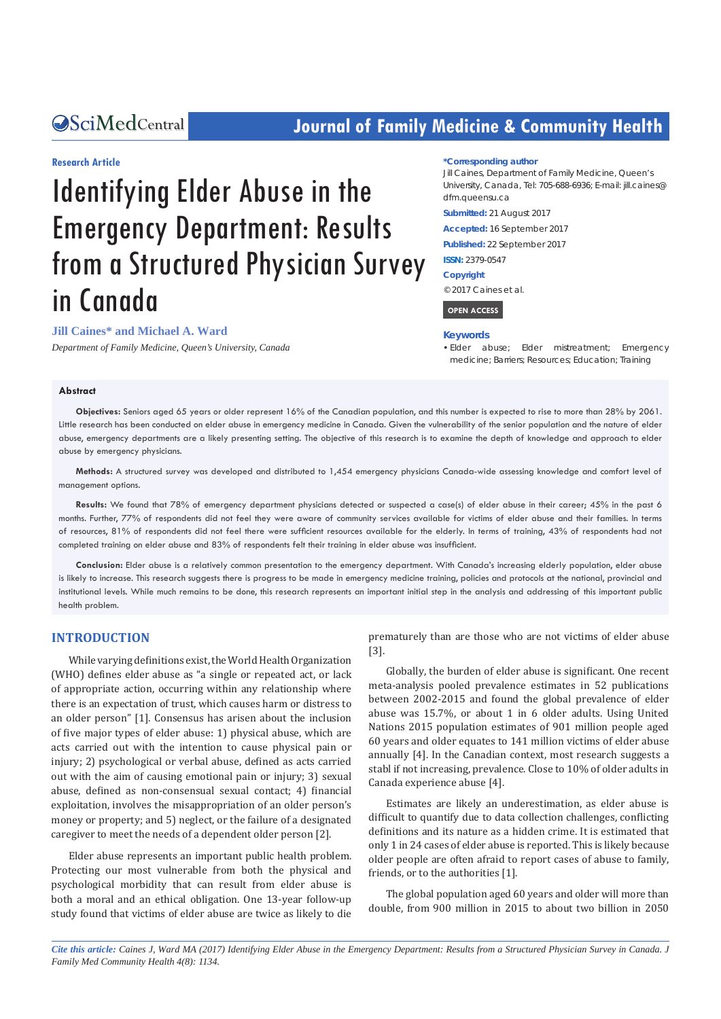## **CALCERT CONFIDENTIAL CONTROLLER COMMUNITY Health**

#### **Research Article**

# Identifying Elder Abuse in the Emergency Department: Results from a Structured Physician Survey in Canada

#### **Jill Caines\* and Michael A. Ward**

*Department of Family Medicine, Queen's University, Canada* 

#### **\*Corresponding author**

Jill Caines, Department of Family Medicine, Queen's University, Canada, Tel: 705-688-6936; E-mail: jill.caines@ dfm.queensu.ca

**Submitted:** 21 August 2017

**Accepted:** 16 September 2017

**Published:** 22 September 2017

**ISSN:** 2379-0547

#### **Copyright**

© 2017 Caines et al.

 **OPEN ACCESS** 

#### **Keywords**

• Elder abuse; Elder mistreatment; Emergency medicine; Barriers; Resources; Education; Training

#### **Abstract**

**Objectives:** Seniors aged 65 years or older represent 16% of the Canadian population, and this number is expected to rise to more than 28% by 2061. Little research has been conducted on elder abuse in emergency medicine in Canada. Given the vulnerability of the senior population and the nature of elder abuse, emergency departments are a likely presenting setting. The objective of this research is to examine the depth of knowledge and approach to elder abuse by emergency physicians.

**Methods:** A structured survey was developed and distributed to 1,454 emergency physicians Canada-wide assessing knowledge and comfort level of management options.

Results: We found that 78% of emergency department physicians detected or suspected a case(s) of elder abuse in their career; 45% in the past 6 months. Further, 77% of respondents did not feel they were aware of community services available for victims of elder abuse and their families. In terms of resources, 81% of respondents did not feel there were sufficient resources available for the elderly. In terms of training, 43% of respondents had not completed training on elder abuse and 83% of respondents felt their training in elder abuse was insufficient.

**Conclusion:** Elder abuse is a relatively common presentation to the emergency department. With Canada's increasing elderly population, elder abuse is likely to increase. This research suggests there is progress to be made in emergency medicine training, policies and protocols at the national, provincial and institutional levels. While much remains to be done, this research represents an important initial step in the analysis and addressing of this important public health problem.

#### **INTRODUCTION**

While varying definitions exist, the World Health Organization (WHO) defines elder abuse as "a single or repeated act, or lack of appropriate action, occurring within any relationship where there is an expectation of trust, which causes harm or distress to an older person" [1]. Consensus has arisen about the inclusion of five major types of elder abuse: 1) physical abuse, which are acts carried out with the intention to cause physical pain or injury; 2) psychological or verbal abuse, defined as acts carried out with the aim of causing emotional pain or injury; 3) sexual abuse, defined as non-consensual sexual contact; 4) financial exploitation, involves the misappropriation of an older person's money or property; and 5) neglect, or the failure of a designated caregiver to meet the needs of a dependent older person [2].

Elder abuse represents an important public health problem. Protecting our most vulnerable from both the physical and psychological morbidity that can result from elder abuse is both a moral and an ethical obligation. One 13-year follow-up study found that victims of elder abuse are twice as likely to die prematurely than are those who are not victims of elder abuse [3].

Globally, the burden of elder abuse is significant. One recent meta-analysis pooled prevalence estimates in 52 publications between 2002-2015 and found the global prevalence of elder abuse was 15.7%, or about 1 in 6 older adults. Using United Nations 2015 population estimates of 901 million people aged 60 years and older equates to 141 million victims of elder abuse annually [4]. In the Canadian context, most research suggests a stabl if not increasing, prevalence. Close to 10% of older adults in Canada experience abuse [4].

Estimates are likely an underestimation, as elder abuse is difficult to quantify due to data collection challenges, conflicting definitions and its nature as a hidden crime. It is estimated that only 1 in 24 cases of elder abuse is reported. This is likely because older people are often afraid to report cases of abuse to family, friends, or to the authorities [1].

The global population aged 60 years and older will more than double, from 900 million in 2015 to about two billion in 2050

*Cite this article: Caines J, Ward MA (2017) Identifying Elder Abuse in the Emergency Department: Results from a Structured Physician Survey in Canada. J Family Med Community Health 4(8): 1134.*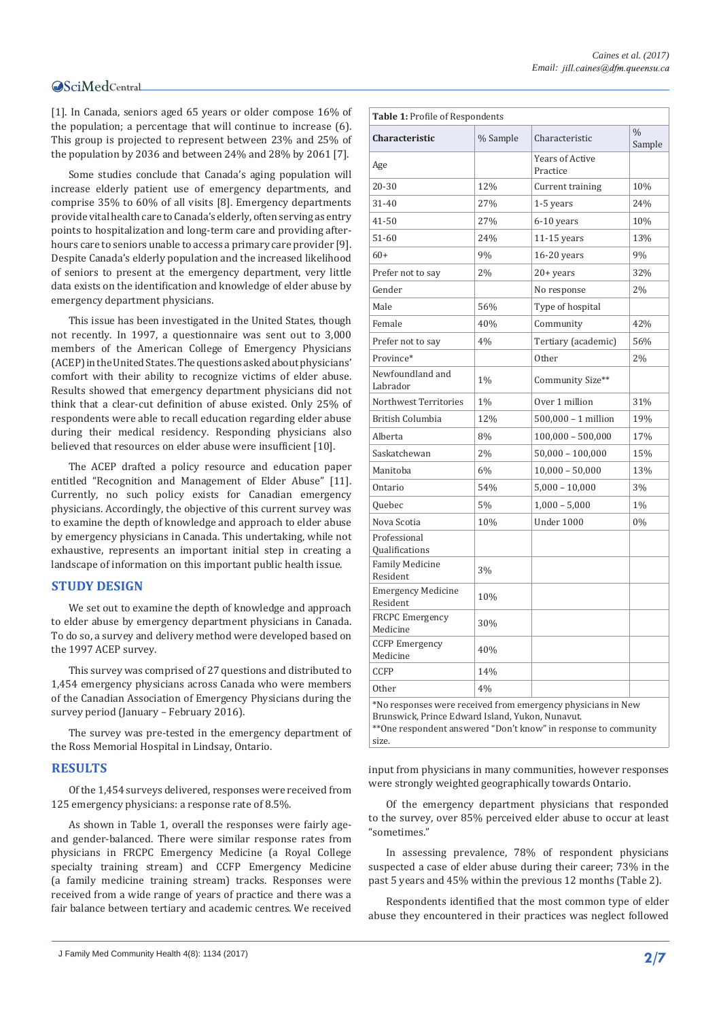[1]. In Canada, seniors aged 65 years or older compose 16% of the population; a percentage that will continue to increase (6). This group is projected to represent between 23% and 25% of the population by 2036 and between 24% and 28% by 2061 [7].

Some studies conclude that Canada's aging population will increase elderly patient use of emergency departments, and comprise 35% to 60% of all visits [8]. Emergency departments provide vital health care to Canada's elderly, often serving as entry points to hospitalization and long-term care and providing afterhours care to seniors unable to access a primary care provider [9]. Despite Canada's elderly population and the increased likelihood of seniors to present at the emergency department, very little data exists on the identification and knowledge of elder abuse by emergency department physicians.

This issue has been investigated in the United States, though not recently. In 1997, a questionnaire was sent out to 3,000 members of the American College of Emergency Physicians (ACEP) in the United States. The questions asked about physicians' comfort with their ability to recognize victims of elder abuse. Results showed that emergency department physicians did not think that a clear-cut definition of abuse existed. Only 25% of respondents were able to recall education regarding elder abuse during their medical residency. Responding physicians also believed that resources on elder abuse were insufficient [10].

The ACEP drafted a policy resource and education paper entitled "Recognition and Management of Elder Abuse" [11]. Currently, no such policy exists for Canadian emergency physicians. Accordingly, the objective of this current survey was to examine the depth of knowledge and approach to elder abuse by emergency physicians in Canada. This undertaking, while not exhaustive, represents an important initial step in creating a landscape of information on this important public health issue.

#### **STUDY DESIGN**

We set out to examine the depth of knowledge and approach to elder abuse by emergency department physicians in Canada. To do so, a survey and delivery method were developed based on the 1997 ACEP survey.

This survey was comprised of 27 questions and distributed to 1,454 emergency physicians across Canada who were members of the Canadian Association of Emergency Physicians during the survey period (January – February 2016).

The survey was pre-tested in the emergency department of the Ross Memorial Hospital in Lindsay, Ontario.

### **RESULTS**

Of the 1,454 surveys delivered, responses were received from 125 emergency physicians: a response rate of 8.5%.

As shown in Table 1, overall the responses were fairly ageand gender-balanced. There were similar response rates from physicians in FRCPC Emergency Medicine (a Royal College specialty training stream) and CCFP Emergency Medicine (a family medicine training stream) tracks. Responses were received from a wide range of years of practice and there was a fair balance between tertiary and academic centres. We received

| <b>Characteristic</b>                                     | % Sample | Characteristic                                                                                                                   | $\frac{0}{0}$<br>Sample |
|-----------------------------------------------------------|----------|----------------------------------------------------------------------------------------------------------------------------------|-------------------------|
| Age                                                       |          | <b>Years of Active</b><br>Practice                                                                                               |                         |
| 20-30                                                     | 12%      | Current training                                                                                                                 | 10%                     |
| 31-40                                                     | 27%      | 1-5 years                                                                                                                        | 24%                     |
| 41-50                                                     | 27%      | 6-10 years                                                                                                                       | 10%                     |
| $51 - 60$                                                 | 24%      | $11-15$ years                                                                                                                    | 13%                     |
| $60+$                                                     | 9%       | $16-20$ years                                                                                                                    | 9%                      |
| Prefer not to say                                         | 2%       | $20+$ years                                                                                                                      | 32%                     |
| Gender                                                    |          | No response                                                                                                                      | 2%                      |
| Male                                                      | 56%      | Type of hospital                                                                                                                 |                         |
| Female                                                    | 40%      | Community                                                                                                                        | 42%                     |
| Prefer not to say                                         | 4%       | Tertiary (academic)                                                                                                              | 56%                     |
| Province*                                                 |          | Other                                                                                                                            | 2%                      |
| Newfoundland and<br>Labrador                              | 1%       | Community Size**                                                                                                                 |                         |
| Northwest Territories                                     | 1%       | Over 1 million                                                                                                                   | 31%                     |
| British Columbia                                          | 12%      | 500,000 - 1 million                                                                                                              | 19%                     |
| Alberta                                                   | 8%       | $100,000 - 500,000$                                                                                                              | 17%                     |
| Saskatchewan                                              | 2%       | $50,000 - 100,000$                                                                                                               | 15%                     |
| Manitoba                                                  | 6%       | $10,000 - 50,000$                                                                                                                | 13%                     |
| Ontario                                                   | 54%      | $5,000 - 10,000$                                                                                                                 | 3%                      |
| Quebec                                                    | 5%       | $1,000 - 5,000$                                                                                                                  | $1\%$                   |
| Nova Scotia                                               | 10%      | Under 1000                                                                                                                       | $0\%$                   |
| Professional<br>Qualifications                            |          |                                                                                                                                  |                         |
| <b>Family Medicine</b><br>Resident                        | 3%       |                                                                                                                                  |                         |
| <b>Emergency Medicine</b><br>Resident                     | 10%      |                                                                                                                                  |                         |
| <b>FRCPC</b> Emergency<br>Medicine                        | 30%      |                                                                                                                                  |                         |
| <b>CCFP</b> Emergency<br>Medicine                         | 40%      |                                                                                                                                  |                         |
| <b>CCFP</b>                                               | 14%      |                                                                                                                                  |                         |
| Other                                                     | 4%       |                                                                                                                                  |                         |
| Brunswick, Prince Edward Island, Yukon, Nunavut.<br>size. |          | *No responses were received from emergency physicians in New<br>** One respondent answered "Don't know" in response to community |                         |

input from physicians in many communities, however responses were strongly weighted geographically towards Ontario.

Of the emergency department physicians that responded to the survey, over 85% perceived elder abuse to occur at least "sometimes."

In assessing prevalence, 78% of respondent physicians suspected a case of elder abuse during their career; 73% in the past 5 years and 45% within the previous 12 months (Table 2).

Respondents identified that the most common type of elder abuse they encountered in their practices was neglect followed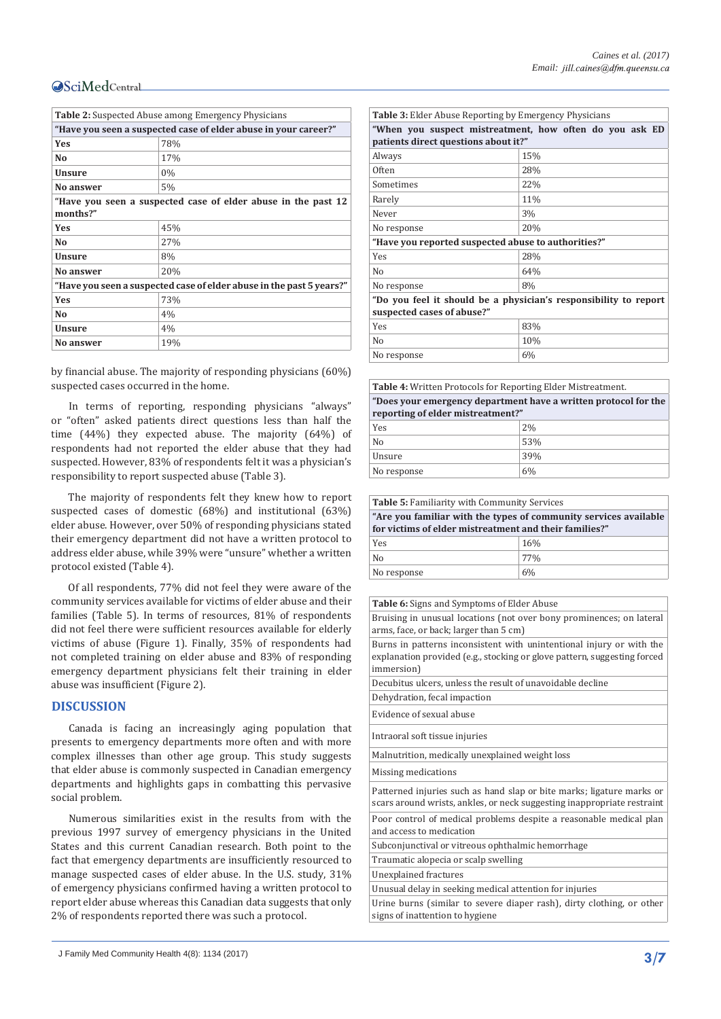| <b>Table 2:</b> Suspected Abuse among Emergency Physicians                |     |  |  |
|---------------------------------------------------------------------------|-----|--|--|
| "Have you seen a suspected case of elder abuse in your career?"           |     |  |  |
| <b>Yes</b>                                                                | 78% |  |  |
| N <sub>0</sub>                                                            | 17% |  |  |
| Unsure                                                                    | 0%  |  |  |
| No answer                                                                 | 5%  |  |  |
| "Have you seen a suspected case of elder abuse in the past 12<br>months?" |     |  |  |
| <b>Yes</b>                                                                | 45% |  |  |
| No                                                                        | 27% |  |  |
| <b>Unsure</b>                                                             | 8%  |  |  |
| No answer                                                                 | 20% |  |  |
| "Have you seen a suspected case of elder abuse in the past 5 years?"      |     |  |  |
| <b>Yes</b>                                                                | 73% |  |  |
| N <sub>0</sub>                                                            | 4%  |  |  |
| <b>Unsure</b>                                                             | 4%  |  |  |
| No answer                                                                 | 19% |  |  |

by financial abuse. The majority of responding physicians (60%) suspected cases occurred in the home.

In terms of reporting, responding physicians "always" or "often" asked patients direct questions less than half the time (44%) they expected abuse. The majority (64%) of respondents had not reported the elder abuse that they had suspected. However, 83% of respondents felt it was a physician's responsibility to report suspected abuse (Table 3).

The majority of respondents felt they knew how to report suspected cases of domestic (68%) and institutional (63%) elder abuse. However, over 50% of responding physicians stated their emergency department did not have a written protocol to address elder abuse, while 39% were "unsure" whether a written protocol existed (Table 4).

Of all respondents, 77% did not feel they were aware of the community services available for victims of elder abuse and their families (Table 5). In terms of resources, 81% of respondents did not feel there were sufficient resources available for elderly victims of abuse (Figure 1). Finally, 35% of respondents had not completed training on elder abuse and 83% of responding emergency department physicians felt their training in elder abuse was insufficient (Figure 2).

#### **DISCUSSION**

Canada is facing an increasingly aging population that presents to emergency departments more often and with more complex illnesses than other age group. This study suggests that elder abuse is commonly suspected in Canadian emergency departments and highlights gaps in combatting this pervasive social problem.

Numerous similarities exist in the results from with the previous 1997 survey of emergency physicians in the United States and this current Canadian research. Both point to the fact that emergency departments are insufficiently resourced to manage suspected cases of elder abuse. In the U.S. study, 31% of emergency physicians confirmed having a written protocol to report elder abuse whereas this Canadian data suggests that only 2% of respondents reported there was such a protocol.

| <b>Table 3:</b> Elder Abuse Reporting by Emergency Physicians                                   |     |  |  |  |
|-------------------------------------------------------------------------------------------------|-----|--|--|--|
| "When you suspect mistreatment, how often do you ask ED<br>patients direct questions about it?" |     |  |  |  |
| Always                                                                                          | 15% |  |  |  |
| Often                                                                                           | 28% |  |  |  |
| Sometimes                                                                                       | 22% |  |  |  |
| Rarely                                                                                          | 11% |  |  |  |
| Never                                                                                           | 3%  |  |  |  |
| No response                                                                                     | 20% |  |  |  |
| "Have you reported suspected abuse to authorities?"                                             |     |  |  |  |
| Yes                                                                                             | 28% |  |  |  |
| N <sub>0</sub>                                                                                  | 64% |  |  |  |
| No response                                                                                     | 8%  |  |  |  |
| "Do you feel it should be a physician's responsibility to report<br>suspected cases of abuse?"  |     |  |  |  |
| Yes                                                                                             | 83% |  |  |  |
| N <sub>0</sub>                                                                                  | 10% |  |  |  |
| No response                                                                                     | 6%  |  |  |  |

#### **Table 4:** Written Protocols for Reporting Elder Mistreatment. **"Does your emergency department have a written protocol for the reporting of elder mistreatment?"**

| reporting of eiger mistreatment? |     |  |
|----------------------------------|-----|--|
| Yes                              | 2%  |  |
| N <sub>0</sub>                   | 53% |  |
| Unsure                           | 39% |  |
| No response                      | 6%  |  |

| <b>Table 5: Familiarity with Community Services</b>                                                                        |     |  |
|----------------------------------------------------------------------------------------------------------------------------|-----|--|
| "Are you familiar with the types of community services available<br>for victims of elder mistreatment and their families?" |     |  |
| Yes                                                                                                                        | 16% |  |
| N <sub>0</sub>                                                                                                             | 77% |  |
| No response                                                                                                                | 6%  |  |

**Table 6:** Signs and Symptoms of Elder Abuse

Bruising in unusual locations (not over bony prominences; on lateral arms, face, or back; larger than 5 cm)

Burns in patterns inconsistent with unintentional injury or with the explanation provided (e.g., stocking or glove pattern, suggesting forced immersion)

Decubitus ulcers, unless the result of unavoidable decline

Dehydration, fecal impaction Evidence of sexual abuse

Intraoral soft tissue injuries

Malnutrition, medically unexplained weight loss

Missing medications

Patterned injuries such as hand slap or bite marks; ligature marks or scars around wrists, ankles, or neck suggesting inappropriate restraint Poor control of medical problems despite a reasonable medical plan and access to medication Subconjunctival or vitreous ophthalmic hemorrhage Traumatic alopecia or scalp swelling

Unexplained fractures

Unusual delay in seeking medical attention for injuries

Urine burns (similar to severe diaper rash), dirty clothing, or other signs of inattention to hygiene

J Family Med Community Health 4(8): 1134 (2017) **3/7**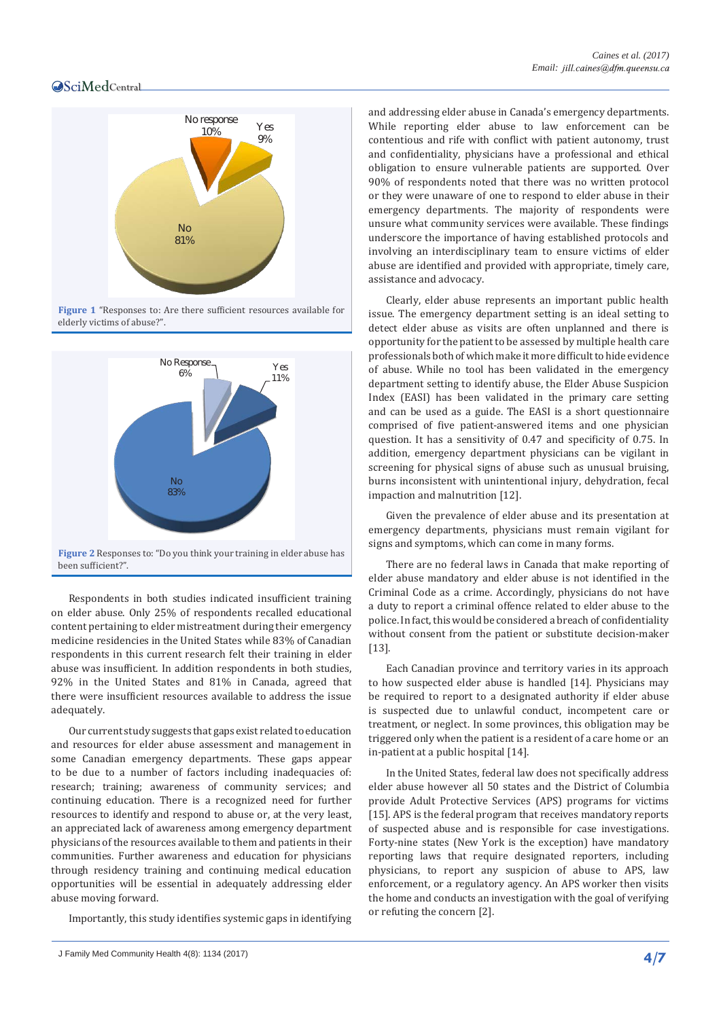

**Figure 1** "Responses to: Are there sufficient resources available for elderly victims of abuse?".



Respondents in both studies indicated insufficient training on elder abuse. Only 25% of respondents recalled educational content pertaining to elder mistreatment during their emergency medicine residencies in the United States while 83% of Canadian respondents in this current research felt their training in elder abuse was insufficient. In addition respondents in both studies, 92% in the United States and 81% in Canada, agreed that there were insufficient resources available to address the issue adequately.

Our current study suggests that gaps exist related to education and resources for elder abuse assessment and management in some Canadian emergency departments. These gaps appear to be due to a number of factors including inadequacies of: research; training; awareness of community services; and continuing education. There is a recognized need for further resources to identify and respond to abuse or, at the very least, an appreciated lack of awareness among emergency department physicians of the resources available to them and patients in their communities. Further awareness and education for physicians through residency training and continuing medical education opportunities will be essential in adequately addressing elder abuse moving forward.

Importantly, this study identifies systemic gaps in identifying

and addressing elder abuse in Canada's emergency departments. While reporting elder abuse to law enforcement can be contentious and rife with conflict with patient autonomy, trust and confidentiality, physicians have a professional and ethical obligation to ensure vulnerable patients are supported. Over 90% of respondents noted that there was no written protocol or they were unaware of one to respond to elder abuse in their emergency departments. The majority of respondents were unsure what community services were available. These findings underscore the importance of having established protocols and involving an interdisciplinary team to ensure victims of elder abuse are identified and provided with appropriate, timely care, assistance and advocacy.

Clearly, elder abuse represents an important public health issue. The emergency department setting is an ideal setting to detect elder abuse as visits are often unplanned and there is opportunity for the patient to be assessed by multiple health care professionals both of which make it more difficult to hide evidence of abuse. While no tool has been validated in the emergency department setting to identify abuse, the Elder Abuse Suspicion Index (EASI) has been validated in the primary care setting and can be used as a guide. The EASI is a short questionnaire comprised of five patient-answered items and one physician question. It has a sensitivity of 0.47 and specificity of 0.75. In addition, emergency department physicians can be vigilant in screening for physical signs of abuse such as unusual bruising, burns inconsistent with unintentional injury, dehydration, fecal impaction and malnutrition [12].

Given the prevalence of elder abuse and its presentation at emergency departments, physicians must remain vigilant for signs and symptoms, which can come in many forms.

There are no federal laws in Canada that make reporting of elder abuse mandatory and elder abuse is not identified in the Criminal Code as a crime. Accordingly, physicians do not have a duty to report a criminal offence related to elder abuse to the police. In fact, this would be considered a breach of confidentiality without consent from the patient or substitute decision-maker [13].

Each Canadian province and territory varies in its approach to how suspected elder abuse is handled [14]. Physicians may be required to report to a designated authority if elder abuse is suspected due to unlawful conduct, incompetent care or treatment, or neglect. In some provinces, this obligation may be triggered only when the patient is a resident of a care home or an in-patient at a public hospital [14].

In the United States, federal law does not specifically address elder abuse however all 50 states and the District of Columbia provide Adult Protective Services (APS) programs for victims [15]. APS is the federal program that receives mandatory reports of suspected abuse and is responsible for case investigations. Forty-nine states (New York is the exception) have mandatory reporting laws that require designated reporters, including physicians, to report any suspicion of abuse to APS, law enforcement, or a regulatory agency. An APS worker then visits the home and conducts an investigation with the goal of verifying or refuting the concern [2].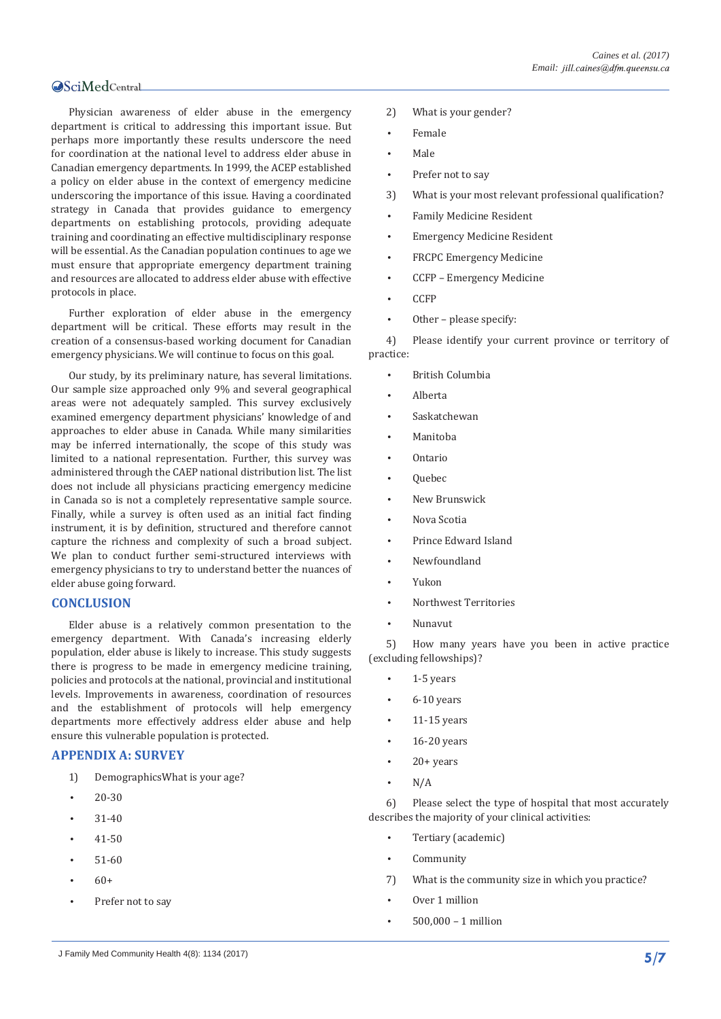Physician awareness of elder abuse in the emergency department is critical to addressing this important issue. But perhaps more importantly these results underscore the need for coordination at the national level to address elder abuse in Canadian emergency departments. In 1999, the ACEP established a policy on elder abuse in the context of emergency medicine underscoring the importance of this issue. Having a coordinated strategy in Canada that provides guidance to emergency departments on establishing protocols, providing adequate training and coordinating an effective multidisciplinary response will be essential. As the Canadian population continues to age we must ensure that appropriate emergency department training and resources are allocated to address elder abuse with effective protocols in place.

Further exploration of elder abuse in the emergency department will be critical. These efforts may result in the creation of a consensus-based working document for Canadian emergency physicians. We will continue to focus on this goal.

Our study, by its preliminary nature, has several limitations. Our sample size approached only 9% and several geographical areas were not adequately sampled. This survey exclusively examined emergency department physicians' knowledge of and approaches to elder abuse in Canada. While many similarities may be inferred internationally, the scope of this study was limited to a national representation. Further, this survey was administered through the CAEP national distribution list. The list does not include all physicians practicing emergency medicine in Canada so is not a completely representative sample source. Finally, while a survey is often used as an initial fact finding instrument, it is by definition, structured and therefore cannot capture the richness and complexity of such a broad subject. We plan to conduct further semi-structured interviews with emergency physicians to try to understand better the nuances of elder abuse going forward.

#### **CONCLUSION**

Elder abuse is a relatively common presentation to the emergency department. With Canada's increasing elderly population, elder abuse is likely to increase. This study suggests there is progress to be made in emergency medicine training, policies and protocols at the national, provincial and institutional levels. Improvements in awareness, coordination of resources and the establishment of protocols will help emergency departments more effectively address elder abuse and help ensure this vulnerable population is protected.

#### **APPENDIX A: SURVEY**

- 1) DemographicsWhat is your age?
- $-20-30$
- $31 40$
- $41 50$
- $51-60$
- $60+$
- Prefer not to say
- 2) What is your gender?
- **Female**
- **Male**
- Prefer not to say
- 3) What is your most relevant professional qualification?
- Family Medicine Resident
- **Emergency Medicine Resident**
- FRCPC Emergency Medicine
- CCFP Emergency Medicine
- $CCFP$
- Other please specify:

4) Please identify your current province or territory of practice:

- **British Columbia**
- • Alberta
- **Saskatchewan**
- **Manitoba**
- • Ontario
- • Quebec
- New Brunswick
- Nova Scotia
- Prince Edward Island
- Newfoundland
- • Yukon
- Northwest Territories
- • Nunavut

5) How many years have you been in active practice (excluding fellowships)?

- 1-5 years
- $6-10$  years
- $11-15$  years
- $16-20$  years
- $20+$  years
- $N/A$

6) Please select the type of hospital that most accurately describes the majority of your clinical activities:

- • Tertiary (academic)
- **Community**
- 7) What is the community size in which you practice?
- Over 1 million
- $500,000 1$  million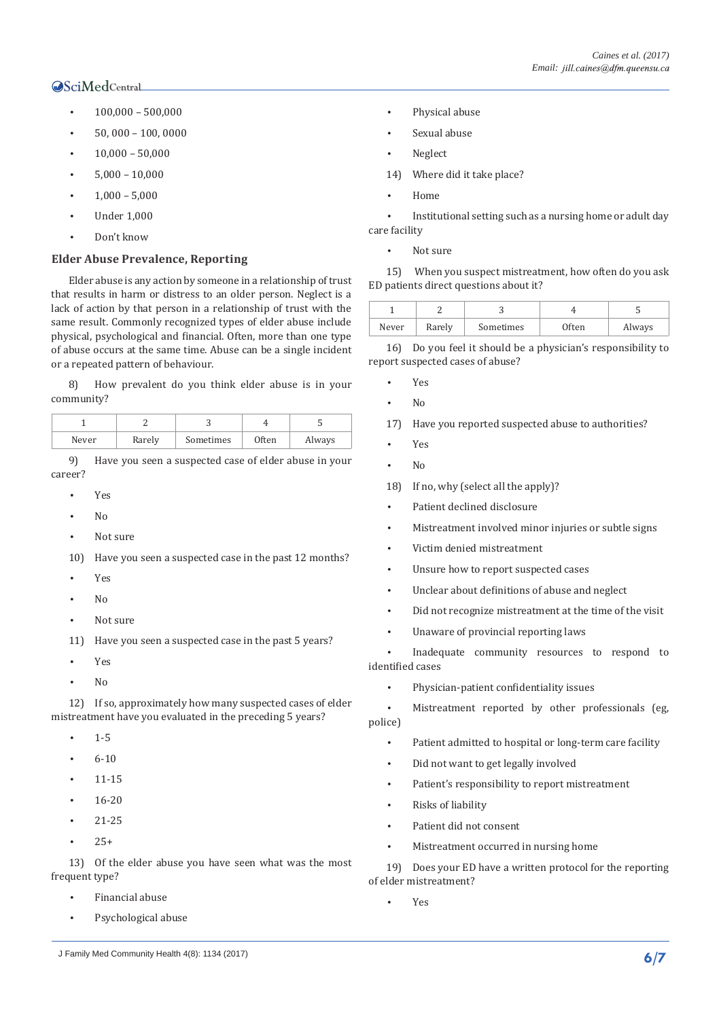- $100,000 500,000$
- $50,000 100,0000$
- $10,000 50,000$
- $5,000 10,000$
- $1,000 5,000$
- Under 1,000
- Don't know

#### **Elder Abuse Prevalence, Reporting**

Elder abuse is any action by someone in a relationship of trust that results in harm or distress to an older person. Neglect is a lack of action by that person in a relationship of trust with the same result. Commonly recognized types of elder abuse include physical, psychological and financial. Often, more than one type of abuse occurs at the same time. Abuse can be a single incident or a repeated pattern of behaviour.

8) How prevalent do you think elder abuse is in your community?

| Never | Rarely | Sometimes | Often | Always |
|-------|--------|-----------|-------|--------|

9) Have you seen a suspected case of elder abuse in your career?

- • Yes
- N<sub>0</sub>
- Not sure
- 10) Have you seen a suspected case in the past 12 months?
- • Yes
- $N<sub>0</sub>$
- Not sure
- 11) Have you seen a suspected case in the past 5 years?
- • Yes
- $No$

12) If so, approximately how many suspected cases of elder mistreatment have you evaluated in the preceding 5 years?

- $1 5$
- $6-10$
- $11 15$
- $16 20$
- $21 25$
- $2.5+$

13) Of the elder abuse you have seen what was the most frequent type?

- Financial abuse
- • Psychological abuse
- Physical abuse
- Sexual abuse
- **Neglect**
- 14) Where did it take place?
- • Home

Institutional setting such as a nursing home or adult day care facility

Not sure

15) When you suspect mistreatment, how often do you ask ED patients direct questions about it?

| Never | Rarely | Sometimes | )ften | Always |
|-------|--------|-----------|-------|--------|

16) Do you feel it should be a physician's responsibility to report suspected cases of abuse?

- $V_{\alpha}$
- $N<sub>0</sub>$
- 17) Have you reported suspected abuse to authorities?
- Yes
- $No$
- 18) If no, why (select all the apply)?
- Patient declined disclosure
- Mistreatment involved minor injuries or subtle signs
- Victim denied mistreatment
- Unsure how to report suspected cases
- Unclear about definitions of abuse and neglect
- Did not recognize mistreatment at the time of the visit
- Unaware of provincial reporting laws

Inadequate community resources to respond to identified cases

Physician-patient confidentiality issues

Mistreatment reported by other professionals (eg, police)

- • Patient admitted to hospital or long-term care facility
- Did not want to get legally involved
- Patient's responsibility to report mistreatment
- **Risks of liability**
- Patient did not consent
- Mistreatment occurred in nursing home

19) Does your ED have a written protocol for the reporting of elder mistreatment?

 $V_{\text{AC}}$